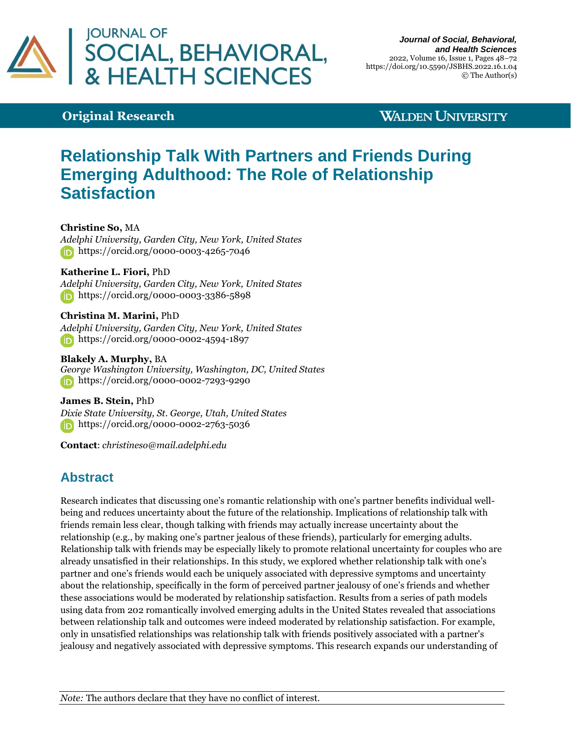

#### *Journal of Social, Behavioral, and Health Sciences* 2022, Volume 16, Issue 1, Pages 48–72 https://doi.org/10.5590/JSBHS.2022.16.1.04 © The Author(s)

## **Original Research**

## **WALDEN UNIVERSITY**

# **Relationship Talk With Partners and Friends During Emerging Adulthood: The Role of Relationship Satisfaction**

**Christine So,** MA

*Adelphi University, Garden City, New York, United States* <https://orcid.org/0000-0003-4265-7046>

#### **Katherine L. Fiori,** PhD

*Adelphi University, Garden City, New York, United States* **https://orcid.org/0000-0003-3386-5898** 

**Christina M. Marini,** PhD *Adelphi University, Garden City, New York, United States* **<https://orcid.org/0000-0002-4594-1897>** 

**Blakely A. Murphy,** BA *George Washington University, Washington, DC, United States* <https://orcid.org/0000-0002-7293-9290>

**James B. Stein,** PhD *Dixie State University, St. George, Utah, United States* <https://orcid.org/0000-0002-2763-5036>

**Contact**: *[christineso@mail.adelphi.edu](mailto:christineso@mail.adelphi.edu)*

## **Abstract**

Research indicates that discussing one's romantic relationship with one's partner benefits individual wellbeing and reduces uncertainty about the future of the relationship. Implications of relationship talk with friends remain less clear, though talking with friends may actually increase uncertainty about the relationship (e.g., by making one's partner jealous of these friends), particularly for emerging adults. Relationship talk with friends may be especially likely to promote relational uncertainty for couples who are already unsatisfied in their relationships. In this study, we explored whether relationship talk with one's partner and one's friends would each be uniquely associated with depressive symptoms and uncertainty about the relationship, specifically in the form of perceived partner jealousy of one's friends and whether these associations would be moderated by relationship satisfaction. Results from a series of path models using data from 202 romantically involved emerging adults in the United States revealed that associations between relationship talk and outcomes were indeed moderated by relationship satisfaction. For example, only in unsatisfied relationships was relationship talk with friends positively associated with a partner's jealousy and negatively associated with depressive symptoms. This research expands our understanding of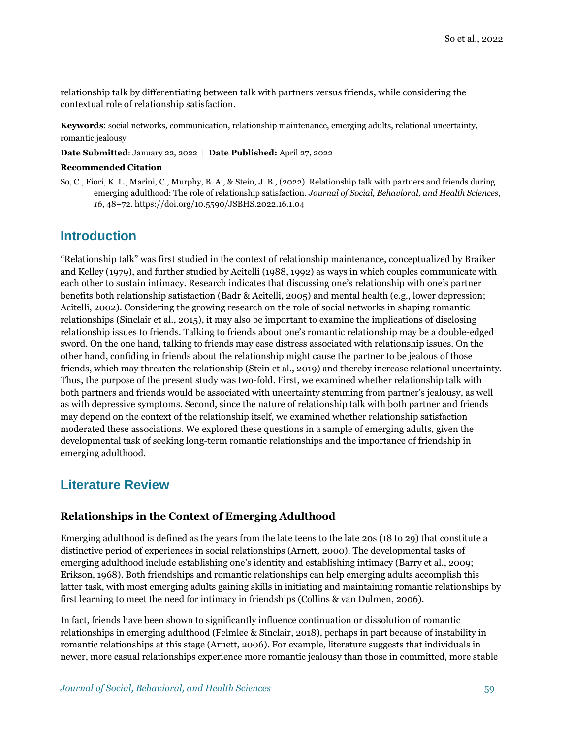relationship talk by differentiating between talk with partners versus friends, while considering the contextual role of relationship satisfaction.

**Keywords**: social networks, communication, relationship maintenance, emerging adults, relational uncertainty, romantic jealousy

**Date Submitted**: January 22, 2022 | **Date Published:** April 27, 2022

#### **Recommended Citation**

So, C., Fiori, K. L., Marini, C., Murphy, B. A., & Stein, J. B., (2022). Relationship talk with partners and friends during emerging adulthood: The role of relationship satisfaction. *Journal of Social, Behavioral, and Health Sciences, 16*, 48–72[. https://doi.org/10.5590/JSBHS.2022.16.1.04](https://doi.org/10.5590/JSBHS.2022.16.1.04)

### **Introduction**

"Relationship talk" was first studied in the context of relationship maintenance, conceptualized by Braiker and Kelley (1979), and further studied by Acitelli (1988, 1992) as ways in which couples communicate with each other to sustain intimacy. Research indicates that discussing one's relationship with one's partner benefits both relationship satisfaction (Badr & Acitelli, 2005) and mental health (e.g., lower depression; Acitelli, 2002). Considering the growing research on the role of social networks in shaping romantic relationships (Sinclair et al., 2015), it may also be important to examine the implications of disclosing relationship issues to friends. Talking to friends about one's romantic relationship may be a double-edged sword. On the one hand, talking to friends may ease distress associated with relationship issues. On the other hand, confiding in friends about the relationship might cause the partner to be jealous of those friends, which may threaten the relationship (Stein et al., 2019) and thereby increase relational uncertainty. Thus, the purpose of the present study was two-fold. First, we examined whether relationship talk with both partners and friends would be associated with uncertainty stemming from partner's jealousy, as well as with depressive symptoms. Second, since the nature of relationship talk with both partner and friends may depend on the context of the relationship itself, we examined whether relationship satisfaction moderated these associations. We explored these questions in a sample of emerging adults, given the developmental task of seeking long-term romantic relationships and the importance of friendship in emerging adulthood.

## **Literature Review**

#### **Relationships in the Context of Emerging Adulthood**

Emerging adulthood is defined as the years from the late teens to the late 20s (18 to 29) that constitute a distinctive period of experiences in social relationships (Arnett, 2000). The developmental tasks of emerging adulthood include establishing one's identity and establishing intimacy (Barry et al., 2009; Erikson, 1968). Both friendships and romantic relationships can help emerging adults accomplish this latter task, with most emerging adults gaining skills in initiating and maintaining romantic relationships by first learning to meet the need for intimacy in friendships (Collins & van Dulmen, 2006).

In fact, friends have been shown to significantly influence continuation or dissolution of romantic relationships in emerging adulthood (Felmlee & Sinclair, 2018), perhaps in part because of instability in romantic relationships at this stage (Arnett, 2006). For example, literature suggests that individuals in newer, more casual relationships experience more romantic jealousy than those in committed, more stable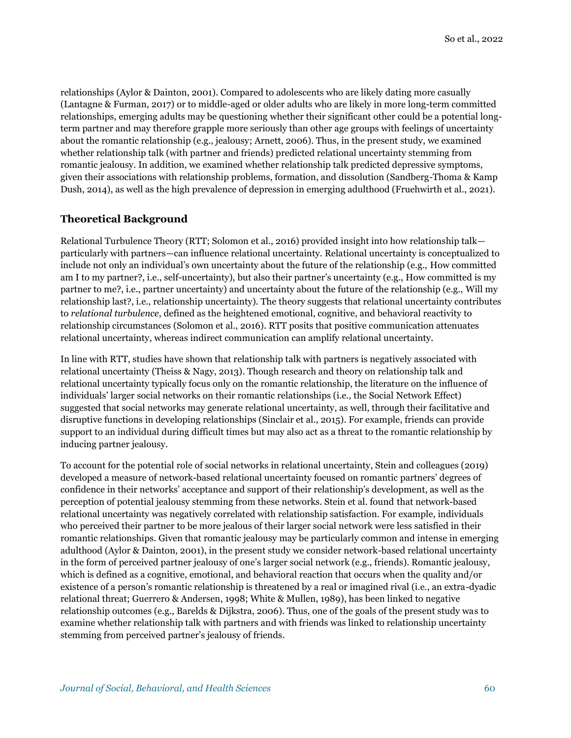relationships (Aylor & Dainton, 2001). Compared to adolescents who are likely dating more casually (Lantagne & Furman, 2017) or to middle-aged or older adults who are likely in more long-term committed relationships, emerging adults may be questioning whether their significant other could be a potential longterm partner and may therefore grapple more seriously than other age groups with feelings of uncertainty about the romantic relationship (e.g., jealousy; Arnett, 2006). Thus, in the present study, we examined whether relationship talk (with partner and friends) predicted relational uncertainty stemming from romantic jealousy. In addition, we examined whether relationship talk predicted depressive symptoms, given their associations with relationship problems, formation, and dissolution (Sandberg-Thoma & Kamp Dush, 2014), as well as the high prevalence of depression in emerging adulthood (Fruehwirth et al., 2021).

#### **Theoretical Background**

Relational Turbulence Theory (RTT; Solomon et al., 2016) provided insight into how relationship talk particularly with partners—can influence relational uncertainty. Relational uncertainty is conceptualized to include not only an individual's own uncertainty about the future of the relationship (e.g., How committed am I to my partner?, i.e., self-uncertainty), but also their partner's uncertainty (e.g., How committed is my partner to me?, i.e., partner uncertainty) and uncertainty about the future of the relationship (e.g., Will my relationship last?, i.e., relationship uncertainty). The theory suggests that relational uncertainty contributes to *relational turbulence*, defined as the heightened emotional, cognitive, and behavioral reactivity to relationship circumstances (Solomon et al., 2016). RTT posits that positive communication attenuates relational uncertainty, whereas indirect communication can amplify relational uncertainty.

In line with RTT, studies have shown that relationship talk with partners is negatively associated with relational uncertainty (Theiss & Nagy, 2013). Though research and theory on relationship talk and relational uncertainty typically focus only on the romantic relationship, the literature on the influence of individuals' larger social networks on their romantic relationships (i.e., the Social Network Effect) suggested that social networks may generate relational uncertainty, as well, through their facilitative and disruptive functions in developing relationships (Sinclair et al., 2015). For example, friends can provide support to an individual during difficult times but may also act as a threat to the romantic relationship by inducing partner jealousy.

To account for the potential role of social networks in relational uncertainty, Stein and colleagues (2019) developed a measure of network-based relational uncertainty focused on romantic partners' degrees of confidence in their networks' acceptance and support of their relationship's development, as well as the perception of potential jealousy stemming from these networks. Stein et al. found that network-based relational uncertainty was negatively correlated with relationship satisfaction. For example, individuals who perceived their partner to be more jealous of their larger social network were less satisfied in their romantic relationships. Given that romantic jealousy may be particularly common and intense in emerging adulthood (Aylor & Dainton, 2001), in the present study we consider network-based relational uncertainty in the form of perceived partner jealousy of one's larger social network (e.g., friends). Romantic jealousy, which is defined as a cognitive, emotional, and behavioral reaction that occurs when the quality and/or existence of a person's romantic relationship is threatened by a real or imagined rival (i.e., an extra-dyadic relational threat; Guerrero & Andersen, 1998; White & Mullen, 1989), has been linked to negative relationship outcomes (e.g., Barelds & Dijkstra, 2006). Thus, one of the goals of the present study was to examine whether relationship talk with partners and with friends was linked to relationship uncertainty stemming from perceived partner's jealousy of friends.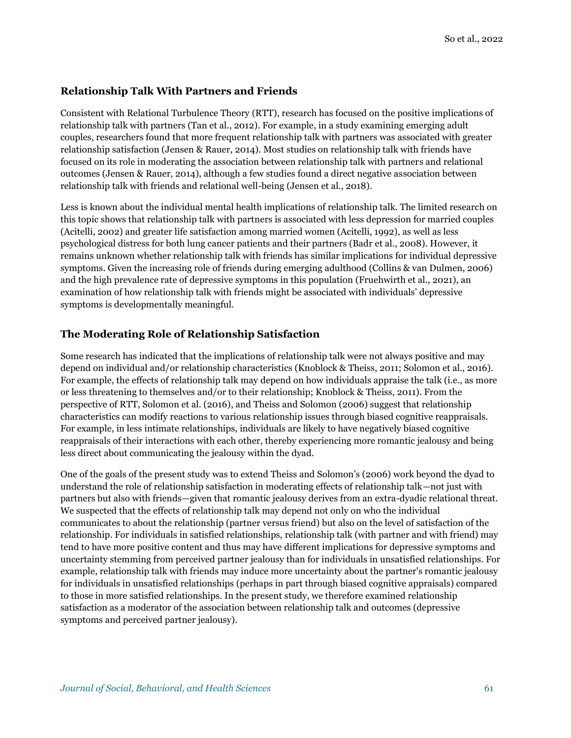#### **Relationship Talk With Partners and Friends**

Consistent with Relational Turbulence Theory (RTT), research has focused on the positive implications of relationship talk with partners (Tan et al., 2012). For example, in a study examining emerging adult couples, researchers found that more frequent relationship talk with partners was associated with greater relationship satisfaction (Jensen & Rauer, 2014). Most studies on relationship talk with friends have focused on its role in moderating the association between relationship talk with partners and relational outcomes (Jensen & Rauer, 2014), although a few studies found a direct negative association between relationship talk with friends and relational well-being (Jensen et al., 2018).

Less is known about the individual mental health implications of relationship talk. The limited research on this topic shows that relationship talk with partners is associated with less depression for married couples (Acitelli, 2002) and greater life satisfaction among married women (Acitelli, 1992), as well as less psychological distress for both lung cancer patients and their partners (Badr et al., 2008). However, it remains unknown whether relationship talk with friends has similar implications for individual depressive symptoms. Given the increasing role of friends during emerging adulthood (Collins & van Dulmen, 2006) and the high prevalence rate of depressive symptoms in this population (Fruehwirth et al., 2021), an examination of how relationship talk with friends might be associated with individuals' depressive symptoms is developmentally meaningful.

#### **The Moderating Role of Relationship Satisfaction**

Some research has indicated that the implications of relationship talk were not always positive and may depend on individual and/or relationship characteristics (Knoblock & Theiss, 2011; Solomon et al., 2016). For example, the effects of relationship talk may depend on how individuals appraise the talk (i.e., as more or less threatening to themselves and/or to their relationship; Knoblock & Theiss, 2011). From the perspective of RTT, Solomon et al. (2016), and Theiss and Solomon (2006) suggest that relationship characteristics can modify reactions to various relationship issues through biased cognitive reappraisals. For example, in less intimate relationships, individuals are likely to have negatively biased cognitive reappraisals of their interactions with each other, thereby experiencing more romantic jealousy and being less direct about communicating the jealousy within the dyad.

One of the goals of the present study was to extend Theiss and Solomon's (2006) work beyond the dyad to understand the role of relationship satisfaction in moderating effects of relationship talk—not just with partners but also with friends—given that romantic jealousy derives from an extra-dyadic relational threat. We suspected that the effects of relationship talk may depend not only on who the individual communicates to about the relationship (partner versus friend) but also on the level of satisfaction of the relationship. For individuals in satisfied relationships, relationship talk (with partner and with friend) may tend to have more positive content and thus may have different implications for depressive symptoms and uncertainty stemming from perceived partner jealousy than for individuals in unsatisfied relationships. For example, relationship talk with friends may induce more uncertainty about the partner's romantic jealousy for individuals in unsatisfied relationships (perhaps in part through biased cognitive appraisals) compared to those in more satisfied relationships. In the present study, we therefore examined relationship satisfaction as a moderator of the association between relationship talk and outcomes (depressive symptoms and perceived partner jealousy).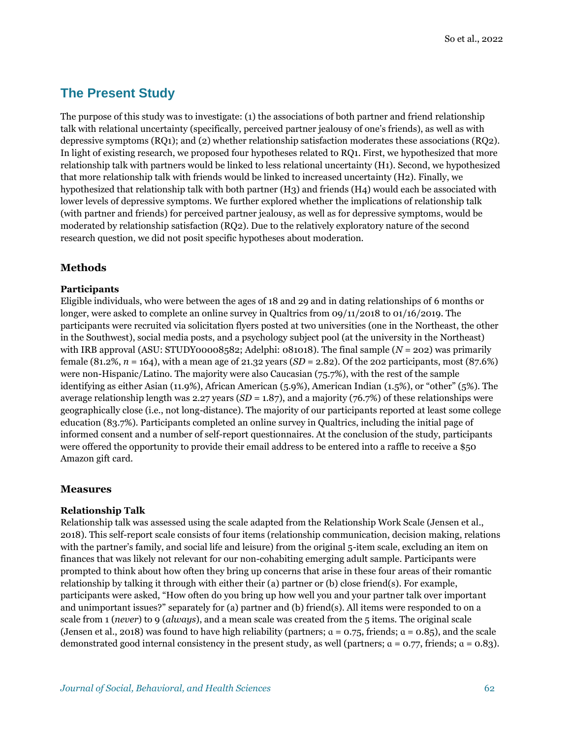## **The Present Study**

The purpose of this study was to investigate: (1) the associations of both partner and friend relationship talk with relational uncertainty (specifically, perceived partner jealousy of one's friends), as well as with depressive symptoms (RQ1); and (2) whether relationship satisfaction moderates these associations (RQ2). In light of existing research, we proposed four hypotheses related to RQ1. First, we hypothesized that more relationship talk with partners would be linked to less relational uncertainty (H1). Second, we hypothesized that more relationship talk with friends would be linked to increased uncertainty (H2). Finally, we hypothesized that relationship talk with both partner (H3) and friends (H4) would each be associated with lower levels of depressive symptoms. We further explored whether the implications of relationship talk (with partner and friends) for perceived partner jealousy, as well as for depressive symptoms, would be moderated by relationship satisfaction (RQ2). Due to the relatively exploratory nature of the second research question, we did not posit specific hypotheses about moderation.

### **Methods**

#### **Participants**

Eligible individuals, who were between the ages of 18 and 29 and in dating relationships of 6 months or longer, were asked to complete an online survey in Qualtrics from 09/11/2018 to 01/16/2019. The participants were recruited via solicitation flyers posted at two universities (one in the Northeast, the other in the Southwest), social media posts, and a psychology subject pool (at the university in the Northeast) with IRB approval (ASU: STUDY00008582; Adelphi: 081018). The final sample  $(N = 202)$  was primarily female (81.2%, *n* = 164), with a mean age of 21.32 years (*SD* = 2.82). Of the 202 participants, most (87.6%) were non-Hispanic/Latino. The majority were also Caucasian (75.7%), with the rest of the sample identifying as either Asian (11.9%), African American (5.9%), American Indian (1.5%), or "other" (5%). The average relationship length was 2.27 years (*SD* = 1.87), and a majority (76.7%) of these relationships were geographically close (i.e., not long-distance). The majority of our participants reported at least some college education (83.7%). Participants completed an online survey in Qualtrics, including the initial page of informed consent and a number of self-report questionnaires. At the conclusion of the study, participants were offered the opportunity to provide their email address to be entered into a raffle to receive a \$50 Amazon gift card.

#### **Measures**

#### **Relationship Talk**

Relationship talk was assessed using the scale adapted from the Relationship Work Scale (Jensen et al., 2018). This self-report scale consists of four items (relationship communication, decision making, relations with the partner's family, and social life and leisure) from the original 5-item scale, excluding an item on finances that was likely not relevant for our non-cohabiting emerging adult sample. Participants were prompted to think about how often they bring up concerns that arise in these four areas of their romantic relationship by talking it through with either their (a) partner or (b) close friend(s). For example, participants were asked, "How often do you bring up how well you and your partner talk over important and unimportant issues?" separately for (a) partner and (b) friend(s). All items were responded to on a scale from 1 (*never*) to 9 (*always*), and a mean scale was created from the 5 items. The original scale (Jensen et al., 2018) was found to have high reliability (partners;  $\alpha = 0.75$ , friends;  $\alpha = 0.85$ ), and the scale demonstrated good internal consistency in the present study, as well (partners;  $a = 0.77$ , friends;  $a = 0.83$ ).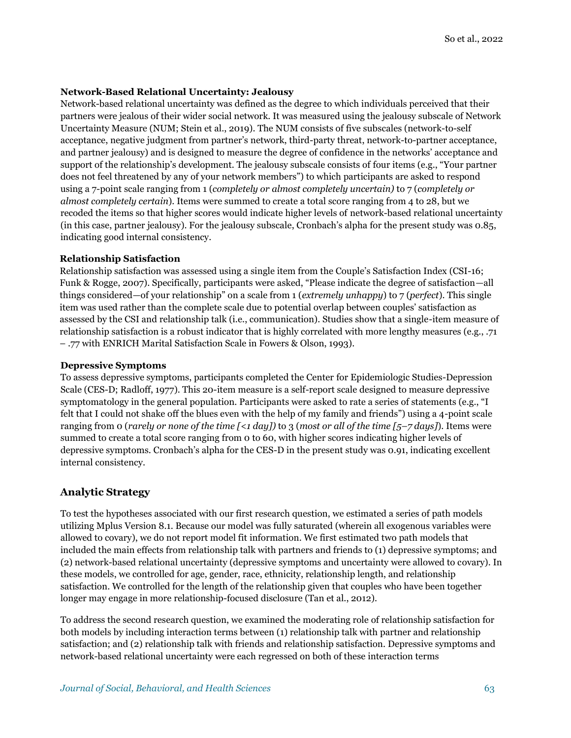#### **Network-Based Relational Uncertainty: Jealousy**

Network-based relational uncertainty was defined as the degree to which individuals perceived that their partners were jealous of their wider social network. It was measured using the jealousy subscale of Network Uncertainty Measure (NUM; Stein et al., 2019). The NUM consists of five subscales (network-to-self acceptance, negative judgment from partner's network, third-party threat, network-to-partner acceptance, and partner jealousy) and is designed to measure the degree of confidence in the networks' acceptance and support of the relationship's development. The jealousy subscale consists of four items (e.g., "Your partner does not feel threatened by any of your network members") to which participants are asked to respond using a 7-point scale ranging from 1 (*completely or almost completely uncertain)* to 7 (*completely or almost completely certain*). Items were summed to create a total score ranging from 4 to 28, but we recoded the items so that higher scores would indicate higher levels of network-based relational uncertainty (in this case, partner jealousy). For the jealousy subscale, Cronbach's alpha for the present study was 0.85, indicating good internal consistency.

#### **Relationship Satisfaction**

Relationship satisfaction was assessed using a single item from the Couple's Satisfaction Index (CSI-16; Funk & Rogge, 2007). Specifically, participants were asked, "Please indicate the degree of satisfaction—all things considered—of your relationship" on a scale from 1 (*extremely unhappy*) to 7 (*perfect*). This single item was used rather than the complete scale due to potential overlap between couples' satisfaction as assessed by the CSI and relationship talk (i.e., communication). Studies show that a single-item measure of relationship satisfaction is a robust indicator that is highly correlated with more lengthy measures (e.g., .71 – .77 with ENRICH Marital Satisfaction Scale in Fowers & Olson, 1993).

#### **Depressive Symptoms**

To assess depressive symptoms, participants completed the Center for Epidemiologic Studies-Depression Scale (CES-D; Radloff, 1977). This 20-item measure is a self-report scale designed to measure depressive symptomatology in the general population. Participants were asked to rate a series of statements (e.g., "I felt that I could not shake off the blues even with the help of my family and friends") using a 4-point scale ranging from 0 (*rarely or none of the time [<1 day])* to 3 (*most or all of the time [5–7 days]*). Items were summed to create a total score ranging from 0 to 60, with higher scores indicating higher levels of depressive symptoms. Cronbach's alpha for the CES-D in the present study was 0.91, indicating excellent internal consistency.

#### **Analytic Strategy**

To test the hypotheses associated with our first research question, we estimated a series of path models utilizing Mplus Version 8.1. Because our model was fully saturated (wherein all exogenous variables were allowed to covary), we do not report model fit information. We first estimated two path models that included the main effects from relationship talk with partners and friends to (1) depressive symptoms; and (2) network-based relational uncertainty (depressive symptoms and uncertainty were allowed to covary). In these models, we controlled for age, gender, race, ethnicity, relationship length, and relationship satisfaction. We controlled for the length of the relationship given that couples who have been together longer may engage in more relationship-focused disclosure (Tan et al., 2012).

To address the second research question, we examined the moderating role of relationship satisfaction for both models by including interaction terms between (1) relationship talk with partner and relationship satisfaction; and (2) relationship talk with friends and relationship satisfaction. Depressive symptoms and network-based relational uncertainty were each regressed on both of these interaction terms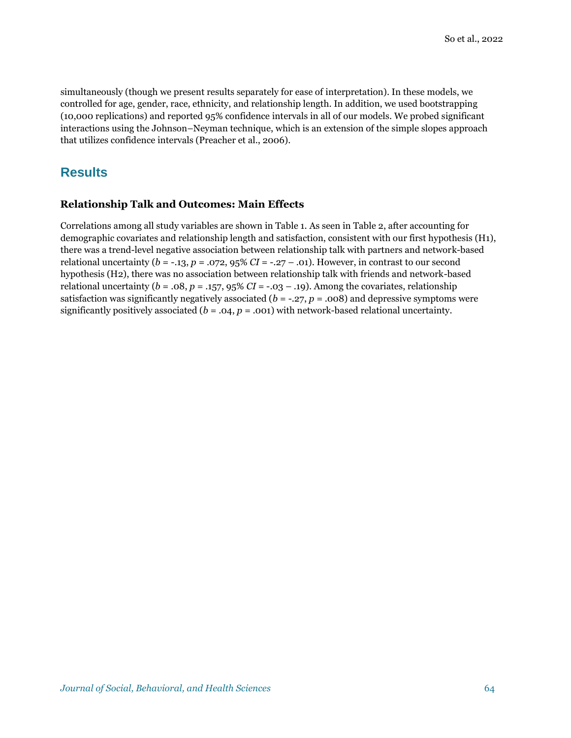simultaneously (though we present results separately for ease of interpretation). In these models, we controlled for age, gender, race, ethnicity, and relationship length. In addition, we used bootstrapping (10,000 replications) and reported 95% confidence intervals in all of our models. We probed significant interactions using the Johnson–Neyman technique, which is an extension of the simple slopes approach that utilizes confidence intervals (Preacher et al., 2006).

## **Results**

#### **Relationship Talk and Outcomes: Main Effects**

Correlations among all study variables are shown in Table 1. As seen in Table 2, after accounting for demographic covariates and relationship length and satisfaction, consistent with our first hypothesis (H1), there was a trend-level negative association between relationship talk with partners and network-based relational uncertainty ( $b = -13$ ,  $p = .072$ ,  $95\% CI = -0.27 - .01$ ). However, in contrast to our second hypothesis (H2), there was no association between relationship talk with friends and network-based relational uncertainty ( $b = .08$ ,  $p = .157$ ,  $95\%$  *CI* = -.03 – .19). Among the covariates, relationship satisfaction was significantly negatively associated ( $b = -0.27$ ,  $p = 0.008$ ) and depressive symptoms were significantly positively associated ( $b = .04$ ,  $p = .001$ ) with network-based relational uncertainty.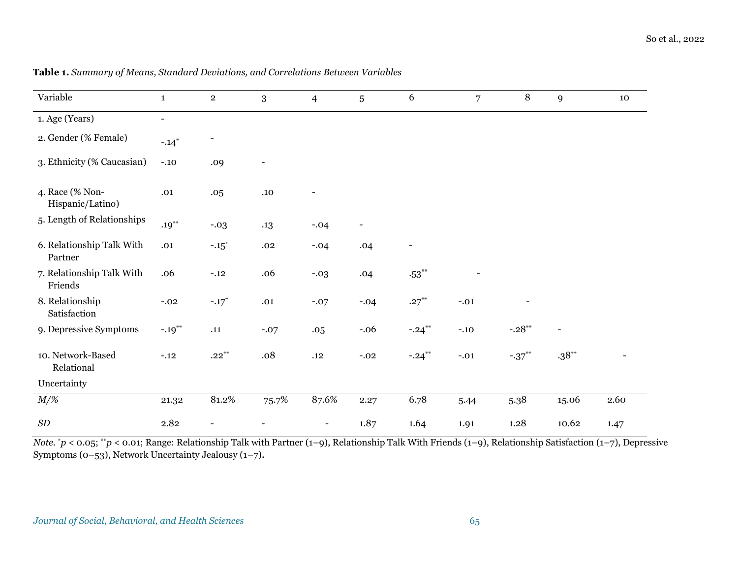| Variable                             | $\mathbf{1}$             | $\mathbf{2}$        | 3                        | $\overline{4}$           | 5                        | 6                        | $\overline{7}$ | 8         | 9              | 10   |
|--------------------------------------|--------------------------|---------------------|--------------------------|--------------------------|--------------------------|--------------------------|----------------|-----------|----------------|------|
| 1. Age (Years)                       | $\overline{\phantom{0}}$ |                     |                          |                          |                          |                          |                |           |                |      |
| 2. Gender (% Female)                 | $-.14*$                  |                     |                          |                          |                          |                          |                |           |                |      |
| 3. Ethnicity (% Caucasian)           | $-.10$                   | .09                 | $\overline{\phantom{0}}$ |                          |                          |                          |                |           |                |      |
| 4. Race (% Non-<br>Hispanic/Latino)  | .01                      | .05                 | .10                      |                          |                          |                          |                |           |                |      |
| 5. Length of Relationships           | $.19***$                 | $-.03$              | .13                      | $-.04$                   | $\overline{\phantom{a}}$ |                          |                |           |                |      |
| 6. Relationship Talk With<br>Partner | .01                      | $-.15$ <sup>*</sup> | .02                      | $-.04$                   | .04                      | $\overline{\phantom{a}}$ |                |           |                |      |
| 7. Relationship Talk With<br>Friends | .06                      | $-.12$              | .06                      | $-.03$                   | .04                      | $.53***$                 |                |           |                |      |
| 8. Relationship<br>Satisfaction      | $-.02$                   | $-.17*$             | .01                      | $-.07$                   | $-.04$                   | $.27***$                 | $-.01$         |           |                |      |
| 9. Depressive Symptoms               | $-.19***$                | .11                 | $-.07$                   | .05                      | $-.06$                   | $-.24***$                | $-.10$         | $-.28**$  | $\blacksquare$ |      |
| 10. Network-Based<br>Relational      | $-.12$                   | $.22***$            | .08                      | .12                      | $-.02$                   | $-.24$ **                | $-.01$         | $-.37***$ | $.38***$       |      |
| Uncertainty                          |                          |                     |                          |                          |                          |                          |                |           |                |      |
| $M/\%$                               | 21.32                    | 81.2%               | 75.7%                    | 87.6%                    | 2.27                     | 6.78                     | 5.44           | 5.38      | 15.06          | 2.60 |
| SD                                   | 2.82                     |                     |                          | $\overline{\phantom{a}}$ | 1.87                     | 1.64                     | 1.91           | 1.28      | 10.62          | 1.47 |

#### **Table 1.** *Summary of Means, Standard Deviations, and Correlations Between Variables*

*Note.*  $*p < 0.05$ ;  $*p < 0.01$ ; Range: Relationship Talk with Partner (1–9), Relationship Talk With Friends (1–9), Relationship Satisfaction (1–7), Depressive Symptoms (0–53), Network Uncertainty Jealousy (1–7).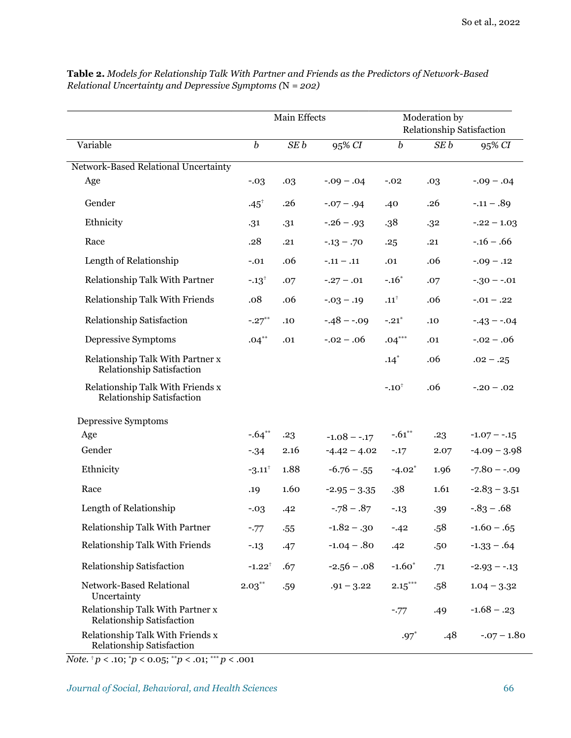|                                                                      | Main Effects         |                 |                 | Moderation by             |      |                 |  |
|----------------------------------------------------------------------|----------------------|-----------------|-----------------|---------------------------|------|-----------------|--|
|                                                                      |                      |                 |                 | Relationship Satisfaction |      |                 |  |
| Variable                                                             | $\boldsymbol{b}$     | SE <sub>b</sub> | 95% CI          | $\boldsymbol{b}$          | SE b | 95% CI          |  |
| Network-Based Relational Uncertainty                                 |                      |                 |                 |                           |      |                 |  |
| Age                                                                  | $-.03$               | .03             | $-0.09 - 0.04$  | $-.02$                    | .03  | $-0.09 - 0.04$  |  |
| Gender                                                               | $.45^{\circ}$        | .26             | $-0.07 - 0.94$  | .40                       | .26  | $-.11-.89$      |  |
| Ethnicity                                                            | .31                  | .31             | $-.26-.93$      | .38                       | .32  | $-.22 - 1.03$   |  |
| Race                                                                 | .28                  | .21             | $-0.13 - 0.70$  | .25                       | .21  | $-0.16 - 0.66$  |  |
| Length of Relationship                                               | $-.01$               | .06             | $-.11-.11$      | .01                       | .06  | $-.09 - .12$    |  |
| Relationship Talk With Partner                                       | $-.13$ <sup>+</sup>  | .07             | $-.27-.01$      | $-.16*$                   | .07  | $-.30 - .01$    |  |
| Relationship Talk With Friends                                       | .08                  | .06             | $-0.03 - 0.19$  | ${\bf .11}^\dagger$       | .06  | $-.01-.22$      |  |
| <b>Relationship Satisfaction</b>                                     | $-.27***$            | .10             | $-.48 - .09$    | $-.21*$                   | .10  | $-.43 - .04$    |  |
| Depressive Symptoms                                                  | $.04***$             | .01             | $-0.02 - 0.06$  | $.04***$                  | .01  | $-0.02 - 0.06$  |  |
| Relationship Talk With Partner x<br>Relationship Satisfaction        |                      |                 |                 | $.14*$                    | .06  | $.02 - .25$     |  |
| Relationship Talk With Friends x<br>Relationship Satisfaction        |                      |                 |                 | $-.10^{\dagger}$          | .06  | $-.20-.02$      |  |
| Depressive Symptoms                                                  |                      |                 |                 |                           |      |                 |  |
| Age                                                                  | $-.64**$             | .23             | $-1.08 - -0.17$ | $-.61***$                 | .23  | $-1.07 - -15$   |  |
| Gender                                                               | $-34$                | 2.16            | $-4.42 - 4.02$  | $-.17$                    | 2.07 | $-4.09 - 3.98$  |  |
| Ethnicity                                                            | $-3.11$ <sup>†</sup> | 1.88            | $-6.76 - .55$   | $-4.02$ <sup>*</sup>      | 1.96 | $-7.80 - -0.09$ |  |
| Race                                                                 | .19                  | 1.60            | $-2.95 - 3.35$  | .38                       | 1.61 | $-2.83 - 3.51$  |  |
| Length of Relationship                                               | $-.03$               | .42             | $-.78-.87$      | $-.13$                    | .39  | $-0.83 - 0.68$  |  |
| Relationship Talk With Partner                                       | $-.77$               | $-55$           | $-1.82-.30$     | $-.42$                    | .58  | $-1.60 - .65$   |  |
| <b>Relationship Talk With Friends</b>                                | $-.13$               | .47             | $-1.04 - .80$   | .42                       | .50  | $-1.33 - .64$   |  |
| Relationship Satisfaction                                            | $-1.22^{\dagger}$    | .67             | $-2.56 - .08$   | $-1.60*$                  | .71  | $-2.93 - -13$   |  |
| Network-Based Relational<br>Uncertainty                              | $2.03***$            | .59             | $.91 - 3.22$    | $\mathbf{2.15}^{***}$     | .58  | $1.04 - 3.32$   |  |
| Relationship Talk With Partner x<br>Relationship Satisfaction        |                      |                 |                 | $-.77$                    | .49  | $-1.68 - .23$   |  |
| Relationship Talk With Friends x<br><b>Relationship Satisfaction</b> |                      |                 |                 | $.97*$                    | .48  | $-.07 - 1.80$   |  |

**Table 2.** *Models for Relationship Talk With Partner and Friends as the Predictors of Network-Based Relational Uncertainty and Depressive Symptoms (*N *= 202)*

*Note.* † *p* < .10; \**p* < 0.05; \*\**p* < .01; \*\*\* *p* < .001

*Journal of Social, Behavioral, and Health Sciences* 66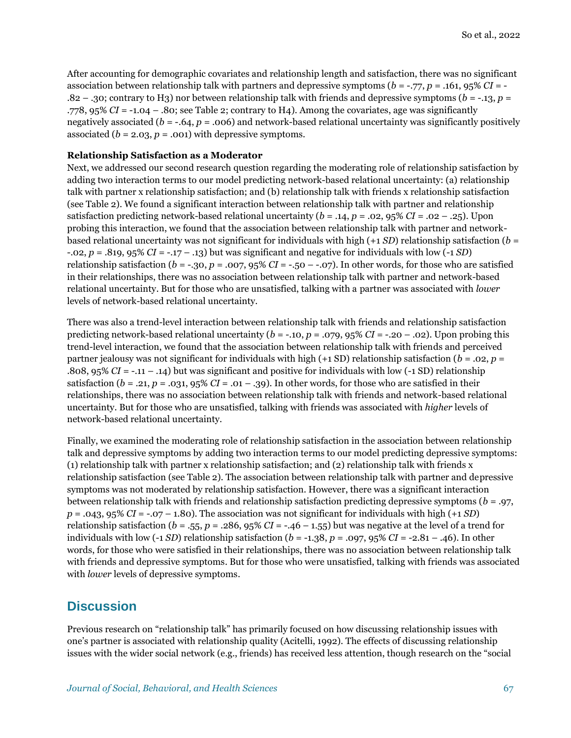After accounting for demographic covariates and relationship length and satisfaction, there was no significant association between relationship talk with partners and depressive symptoms (*b* = -.77, *p* = .161, 95% *CI* = - .82 – .30; contrary to H3) nor between relationship talk with friends and depressive symptoms (*b* = -.13, *p* = .778, 95% *CI* = -1.04 – .80; see Table 2; contrary to H4). Among the covariates, age was significantly negatively associated (*b* = -.64, *p* = .006) and network-based relational uncertainty was significantly positively associated  $(b = 2.03, p = .001)$  with depressive symptoms.

#### **Relationship Satisfaction as a Moderator**

Next, we addressed our second research question regarding the moderating role of relationship satisfaction by adding two interaction terms to our model predicting network-based relational uncertainty: (a) relationship talk with partner x relationship satisfaction; and (b) relationship talk with friends x relationship satisfaction (see Table 2). We found a significant interaction between relationship talk with partner and relationship satisfaction predicting network-based relational uncertainty ( $b = .14$ ,  $p = .02$ ,  $95\%$  *CI* = .02 – .25). Upon probing this interaction, we found that the association between relationship talk with partner and networkbased relational uncertainty was not significant for individuals with high (+1 *SD*) relationship satisfaction (*b* = -.02, *p* = .819, 95% *CI* = -.17 – .13) but was significant and negative for individuals with low (-1 *SD*) relationship satisfaction ( $b = -0.30$ ,  $p = 0.007$ ,  $95\%$  *CI* =  $-0.50 - 0.07$ ). In other words, for those who are satisfied in their relationships, there was no association between relationship talk with partner and network-based relational uncertainty. But for those who are unsatisfied, talking with a partner was associated with *lower* levels of network-based relational uncertainty.

There was also a trend-level interaction between relationship talk with friends and relationship satisfaction predicting network-based relational uncertainty ( $b = -.10$ ,  $p = .079$ ,  $95\%$   $CI = -.20 - .02$ ). Upon probing this trend-level interaction, we found that the association between relationship talk with friends and perceived partner jealousy was not significant for individuals with high (+1 SD) relationship satisfaction (*b* = .02, *p* = .808, 95% *CI* = -.11 – .14) but was significant and positive for individuals with low (-1 SD) relationship satisfaction ( $b = 0.21$ ,  $p = 0.031$ ,  $95\%$  *CI* =  $0.01 - 0.39$ ). In other words, for those who are satisfied in their relationships, there was no association between relationship talk with friends and network-based relational uncertainty. But for those who are unsatisfied, talking with friends was associated with *higher* levels of network-based relational uncertainty.

Finally, we examined the moderating role of relationship satisfaction in the association between relationship talk and depressive symptoms by adding two interaction terms to our model predicting depressive symptoms: (1) relationship talk with partner x relationship satisfaction; and (2) relationship talk with friends x relationship satisfaction (see Table 2). The association between relationship talk with partner and depressive symptoms was not moderated by relationship satisfaction. However, there was a significant interaction between relationship talk with friends and relationship satisfaction predicting depressive symptoms (*b* = .97,  $p = .043$ , 95% *CI* =  $-.07 - 1.80$ . The association was not significant for individuals with high (+1 *SD*) relationship satisfaction ( $b = .55$ ,  $p = .286$ ,  $95\%$  *CI* =  $-.46 - 1.55$ ) but was negative at the level of a trend for individuals with low  $(-1 SD)$  relationship satisfaction  $(b = -1.38, p = .097, 95\% CI = -2.81 - .46)$ . In other words, for those who were satisfied in their relationships, there was no association between relationship talk with friends and depressive symptoms. But for those who were unsatisfied, talking with friends was associated with *lower* levels of depressive symptoms.

## **Discussion**

Previous research on "relationship talk" has primarily focused on how discussing relationship issues with one's partner is associated with relationship quality (Acitelli, 1992). The effects of discussing relationship issues with the wider social network (e.g., friends) has received less attention, though research on the "social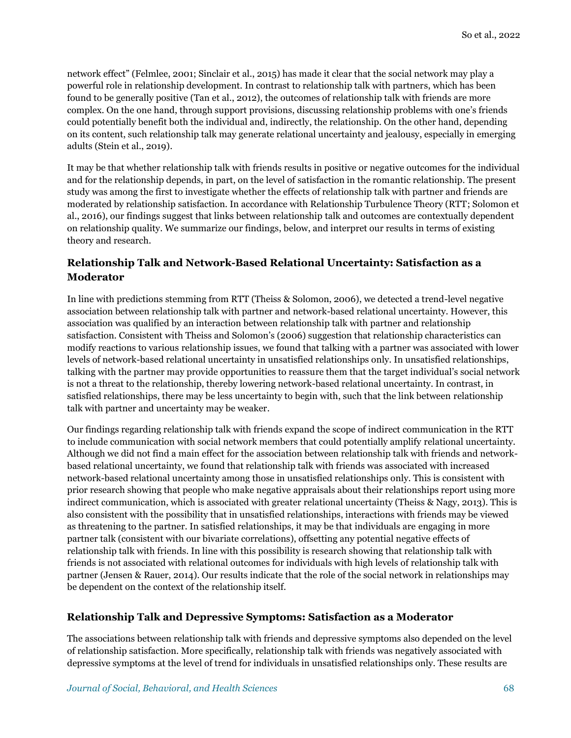network effect" (Felmlee, 2001; Sinclair et al., 2015) has made it clear that the social network may play a powerful role in relationship development. In contrast to relationship talk with partners, which has been found to be generally positive (Tan et al., 2012), the outcomes of relationship talk with friends are more complex. On the one hand, through support provisions, discussing relationship problems with one's friends could potentially benefit both the individual and, indirectly, the relationship. On the other hand, depending on its content, such relationship talk may generate relational uncertainty and jealousy, especially in emerging adults (Stein et al., 2019).

It may be that whether relationship talk with friends results in positive or negative outcomes for the individual and for the relationship depends, in part, on the level of satisfaction in the romantic relationship. The present study was among the first to investigate whether the effects of relationship talk with partner and friends are moderated by relationship satisfaction. In accordance with Relationship Turbulence Theory (RTT; Solomon et al., 2016), our findings suggest that links between relationship talk and outcomes are contextually dependent on relationship quality. We summarize our findings, below, and interpret our results in terms of existing theory and research.

### **Relationship Talk and Network-Based Relational Uncertainty: Satisfaction as a Moderator**

In line with predictions stemming from RTT (Theiss & Solomon, 2006), we detected a trend-level negative association between relationship talk with partner and network-based relational uncertainty. However, this association was qualified by an interaction between relationship talk with partner and relationship satisfaction. Consistent with Theiss and Solomon's (2006) suggestion that relationship characteristics can modify reactions to various relationship issues, we found that talking with a partner was associated with lower levels of network-based relational uncertainty in unsatisfied relationships only. In unsatisfied relationships, talking with the partner may provide opportunities to reassure them that the target individual's social network is not a threat to the relationship, thereby lowering network-based relational uncertainty. In contrast, in satisfied relationships, there may be less uncertainty to begin with, such that the link between relationship talk with partner and uncertainty may be weaker.

Our findings regarding relationship talk with friends expand the scope of indirect communication in the RTT to include communication with social network members that could potentially amplify relational uncertainty. Although we did not find a main effect for the association between relationship talk with friends and networkbased relational uncertainty, we found that relationship talk with friends was associated with increased network-based relational uncertainty among those in unsatisfied relationships only. This is consistent with prior research showing that people who make negative appraisals about their relationships report using more indirect communication, which is associated with greater relational uncertainty (Theiss & Nagy, 2013). This is also consistent with the possibility that in unsatisfied relationships, interactions with friends may be viewed as threatening to the partner. In satisfied relationships, it may be that individuals are engaging in more partner talk (consistent with our bivariate correlations), offsetting any potential negative effects of relationship talk with friends. In line with this possibility is research showing that relationship talk with friends is not associated with relational outcomes for individuals with high levels of relationship talk with partner (Jensen & Rauer, 2014). Our results indicate that the role of the social network in relationships may be dependent on the context of the relationship itself.

#### **Relationship Talk and Depressive Symptoms: Satisfaction as a Moderator**

The associations between relationship talk with friends and depressive symptoms also depended on the level of relationship satisfaction. More specifically, relationship talk with friends was negatively associated with depressive symptoms at the level of trend for individuals in unsatisfied relationships only. These results are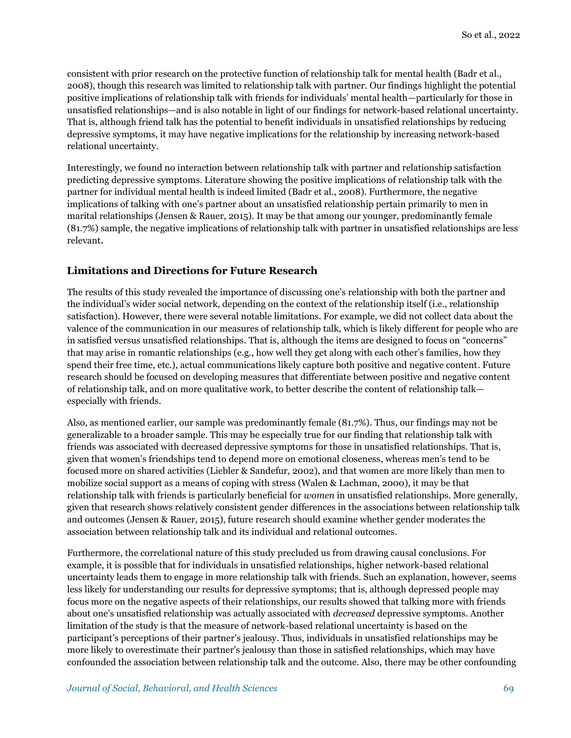consistent with prior research on the protective function of relationship talk for mental health (Badr et al., 2008), though this research was limited to relationship talk with partner. Our findings highlight the potential positive implications of relationship talk with friends for individuals' mental health—particularly for those in unsatisfied relationships—and is also notable in light of our findings for network-based relational uncertainty. That is, although friend talk has the potential to benefit individuals in unsatisfied relationships by reducing depressive symptoms, it may have negative implications for the relationship by increasing network-based relational uncertainty.

Interestingly, we found no interaction between relationship talk with partner and relationship satisfaction predicting depressive symptoms. Literature showing the positive implications of relationship talk with the partner for individual mental health is indeed limited (Badr et al., 2008). Furthermore, the negative implications of talking with one's partner about an unsatisfied relationship pertain primarily to men in marital relationships (Jensen & Rauer, 2015). It may be that among our younger, predominantly female (81.7%) sample, the negative implications of relationship talk with partner in unsatisfied relationships are less relevant.

#### **Limitations and Directions for Future Research**

The results of this study revealed the importance of discussing one's relationship with both the partner and the individual's wider social network, depending on the context of the relationship itself (i.e., relationship satisfaction). However, there were several notable limitations. For example, we did not collect data about the valence of the communication in our measures of relationship talk, which is likely different for people who are in satisfied versus unsatisfied relationships. That is, although the items are designed to focus on "concerns" that may arise in romantic relationships (e.g., how well they get along with each other's families, how they spend their free time, etc.), actual communications likely capture both positive and negative content. Future research should be focused on developing measures that differentiate between positive and negative content of relationship talk, and on more qualitative work, to better describe the content of relationship talk especially with friends.

Also, as mentioned earlier, our sample was predominantly female (81.7%). Thus, our findings may not be generalizable to a broader sample. This may be especially true for our finding that relationship talk with friends was associated with decreased depressive symptoms for those in unsatisfied relationships. That is, given that women's friendships tend to depend more on emotional closeness, whereas men's tend to be focused more on shared activities (Liebler & Sandefur, 2002), and that women are more likely than men to mobilize social support as a means of coping with stress (Walen & Lachman, 2000), it may be that relationship talk with friends is particularly beneficial for *women* in unsatisfied relationships. More generally, given that research shows relatively consistent gender differences in the associations between relationship talk and outcomes (Jensen & Rauer, 2015), future research should examine whether gender moderates the association between relationship talk and its individual and relational outcomes.

Furthermore, the correlational nature of this study precluded us from drawing causal conclusions. For example, it is possible that for individuals in unsatisfied relationships, higher network-based relational uncertainty leads them to engage in more relationship talk with friends. Such an explanation, however, seems less likely for understanding our results for depressive symptoms; that is, although depressed people may focus more on the negative aspects of their relationships, our results showed that talking more with friends about one's unsatisfied relationship was actually associated with *decreased* depressive symptoms. Another limitation of the study is that the measure of network-based relational uncertainty is based on the participant's perceptions of their partner's jealousy. Thus, individuals in unsatisfied relationships may be more likely to overestimate their partner's jealousy than those in satisfied relationships, which may have confounded the association between relationship talk and the outcome. Also, there may be other confounding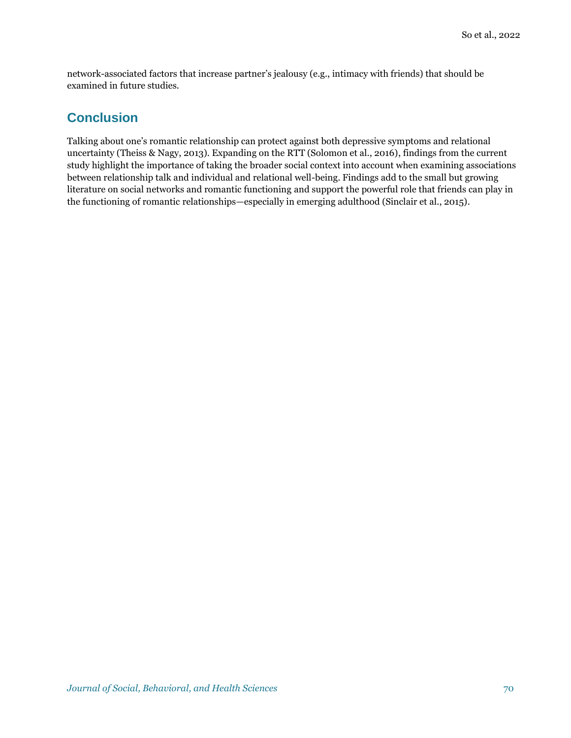network-associated factors that increase partner's jealousy (e.g., intimacy with friends) that should be examined in future studies.

## **Conclusion**

Talking about one's romantic relationship can protect against both depressive symptoms and relational uncertainty (Theiss & Nagy, 2013). Expanding on the RTT (Solomon et al., 2016), findings from the current study highlight the importance of taking the broader social context into account when examining associations between relationship talk and individual and relational well-being. Findings add to the small but growing literature on social networks and romantic functioning and support the powerful role that friends can play in the functioning of romantic relationships—especially in emerging adulthood (Sinclair et al., 2015).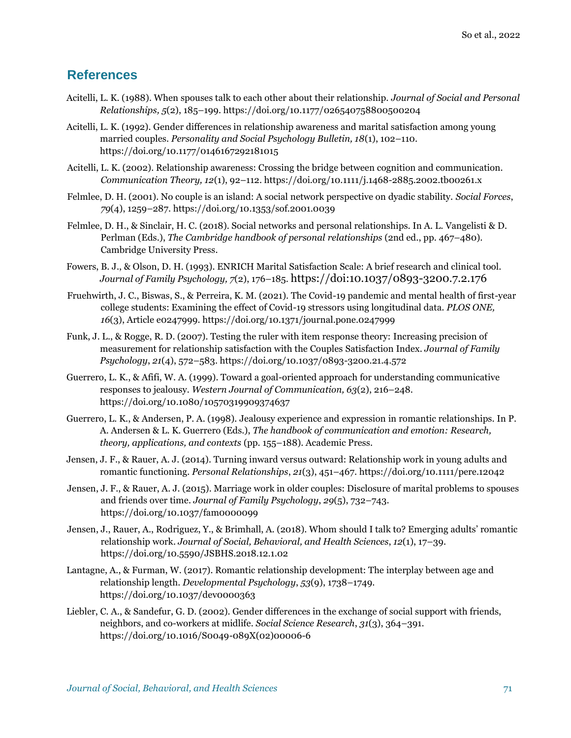## **References**

- Acitelli, L. K. (1988). When spouses talk to each other about their relationship. *Journal of Social and Personal Relationships, 5*(2), 185–199[. https://doi.org/10.1177/026540758800500204](https://doi.org/10.1177/026540758800500204)
- Acitelli, L. K. (1992). Gender differences in relationship awareness and marital satisfaction among young married couples. *Personality and Social Psychology Bulletin, 18*(1), 102–110. <https://doi.org/10.1177/0146167292181015>
- Acitelli, L. K. (2002). Relationship awareness: Crossing the bridge between cognition and communication. *Communication Theory, 12*(1), 92–112.<https://doi.org/10.1111/j.1468-2885.2002.tb00261.x>
- Felmlee, D. H. (2001). No couple is an island: A social network perspective on dyadic stability. *Social Forces*, *79*(4), 1259–287.<https://doi.org/10.1353/sof.2001.0039>
- Felmlee, D. H., & Sinclair, H. C. (2018). Social networks and personal relationships. In A. L. Vangelisti & D. Perlman (Eds.), *The Cambridge handbook of personal relationships* (2nd ed., pp. 467–480). Cambridge University Press.
- Fowers, B. J., & Olson, D. H. (1993). ENRICH Marital Satisfaction Scale: A brief research and clinical tool. *Journal of Family Psychology, 7*(2), 176–185. <https://doi:10.1037/0893-3200.7.2.176>
- Fruehwirth, J. C., Biswas, S., & Perreira, K. M. (2021). The Covid-19 pandemic and mental health of first-year college students: Examining the effect of Covid-19 stressors using longitudinal data. *PLOS ONE, 16*(3), Article e0247999. <https://doi.org/10.1371/journal.pone.0247999>
- Funk, J. L., & Rogge, R. D. (2007). Testing the ruler with item response theory: Increasing precision of measurement for relationship satisfaction with the Couples Satisfaction Index. *Journal of Family Psychology*, *21*(4), 572–583. [https://doi.org/10.1037/0893-3200.21.4.572](https://psycnet.apa.org/doi/10.1037/0893-3200.21.4.572)
- Guerrero, L. K., & Afifi, W. A. (1999). Toward a goal-oriented approach for understanding communicative responses to jealousy. *Western Journal of Communication, 63*(2), 216–248. <https://doi.org/10.1080/10570319909374637>
- Guerrero, L. K., & Andersen, P. A. (1998). Jealousy experience and expression in romantic relationships. In P. A. Andersen & L. K. Guerrero (Eds.), *The handbook of communication and emotion: Research, theory, applications, and contexts* (pp. 155–188). Academic Press.
- Jensen, J. F., & Rauer, A. J. (2014). Turning inward versus outward: Relationship work in young adults and romantic functioning. *Personal Relationships*, *21*(3), 451–467.<https://doi.org/10.1111/pere.12042>
- Jensen, J. F., & Rauer, A. J. (2015). Marriage work in older couples: Disclosure of marital problems to spouses and friends over time. *Journal of Family Psychology*, *29*(5), 732–743. [https://doi.org/10.1037/fam0000099](https://psycnet.apa.org/doi/10.1037/fam0000099)
- Jensen, J., Rauer, A., Rodriguez, Y., & Brimhall, A. (2018). Whom should I talk to? Emerging adults' romantic relationship work. *Journal of Social, Behavioral, and Health Sciences*, *12*(1), 17–39. <https://doi.org/10.5590/JSBHS.2018.12.1.02>
- Lantagne, A., & Furman, W. (2017). Romantic relationship development: The interplay between age and relationship length. *Developmental Psychology*, *53*(9), 1738–1749. <https://doi.org/10.1037/dev0000363>
- Liebler, C. A., & Sandefur, G. D. (2002). Gender differences in the exchange of social support with friends, neighbors, and co-workers at midlife. *Social Science Research*, *31*(3), 364–391. [https://doi.org/10.1016/S0049-089X\(02\)00006-6](https://doi.org/10.1016/S0049-089X(02)00006-6)